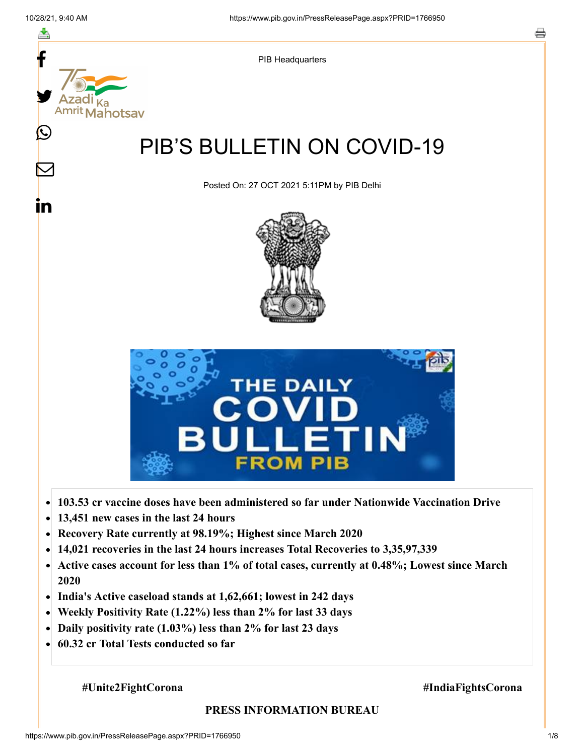

- **103.53 cr vaccine doses have been administered so far under Nationwide Vaccination Drive**
- **13,451 new cases in the last 24 hours**  $\bullet$
- **Recovery Rate currently at 98.19%; Highest since March 2020**
- **14,021 recoveries in the last 24 hours increases Total Recoveries to 3,35,97,339**  $\bullet$
- **Active cases account for less than 1% of total cases, currently at 0.48%; Lowest since March**  $\bullet$ **2020**
- **India's Active caseload stands at 1,62,661; lowest in 242 days**
- **Weekly Positivity Rate (1.22%) less than 2% for last 33 days**  $\bullet$
- **Daily positivity rate (1.03%) less than 2% for last 23 days**  $\bullet$
- **60.32 cr Total Tests conducted so far**

#### **#Unite2FightCorona #IndiaFightsCorona**

#### **PRESS INFORMATION BUREAU**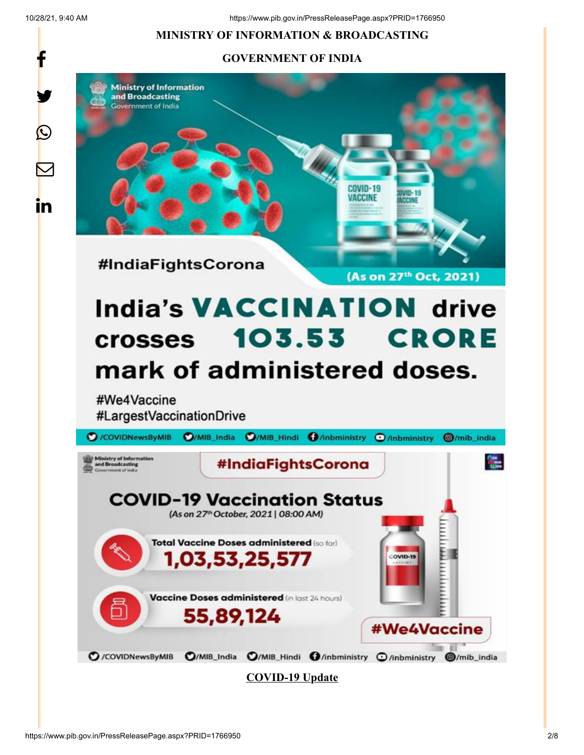10/28/21, 9:40 AM https://www.pib.gov.in/PressReleasePage.aspx?PRID=1766950

### **MINISTRY OF INFORMATION & BROADCASTING**

### **GOVERNMENT OF INDIA**







**COVID-19 Vaccination Status** (As on 27th October, 2021 | 08:00 AM)

Total Vaccine Doses administered (so for)

Vaccine Doses administered (in last 24 hours)

COVID-H

#We4Vaccine

1,03,53,25,577

55,89,124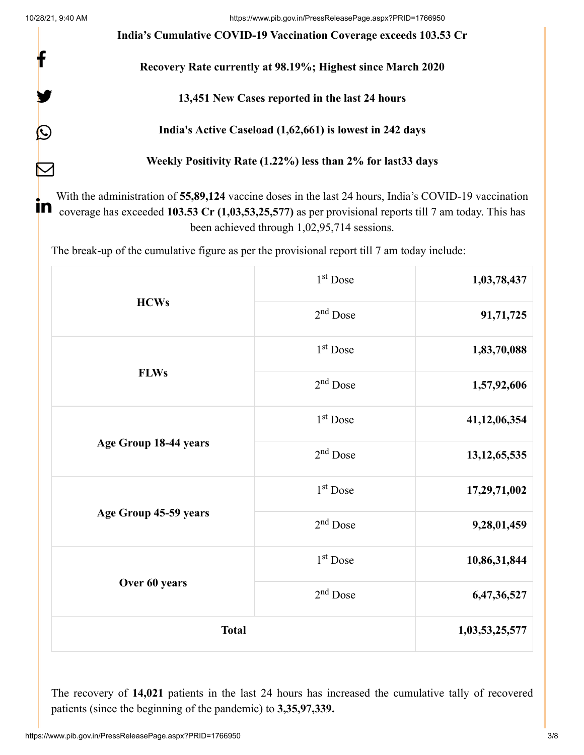f

y.

 $\bm{\mathcal{Q}}$ 

 $\sum$ 

**India's Cumulative COVID-19 Vaccination Coverage exceeds 103.53 Cr**

# **Recovery Rate currently at 98.19%; Highest since March 2020**

# **13,451 New Cases reported in the last 24 hours**

# **India's Active Caseload (1,62,661) is lowest in 242 days**

**Weekly Positivity Rate (1.22%) less than 2% for last33 days**

With the administration of **55,89,124** vaccine doses in the last 24 hours, India's COVID-19 vaccination coverage has exceeded 103.53 Cr (1,03,53,25,577) as per provisional reports till 7 am today. This has been achieved through 1,02,95,714 sessions.

The break-up of the cumulative figure as per the provisional report till 7 am today include:

| <b>HCWs</b><br><b>FLWs</b> | $1^\mathrm{st}$ Dose | 1,03,78,437     |
|----------------------------|----------------------|-----------------|
|                            | $2nd$ Dose           | 91,71,725       |
|                            | 1 <sup>st</sup> Dose | 1,83,70,088     |
|                            | 2 <sup>nd</sup> Dose | 1,57,92,606     |
| Age Group 18-44 years      | 1 <sup>st</sup> Dose | 41,12,06,354    |
|                            | 2 <sup>nd</sup> Dose | 13, 12, 65, 535 |
| Age Group 45-59 years      | 1 <sup>st</sup> Dose | 17,29,71,002    |
|                            | 2 <sup>nd</sup> Dose | 9,28,01,459     |
| Over 60 years              | 1 <sup>st</sup> Dose | 10,86,31,844    |
|                            | 2 <sup>nd</sup> Dose | 6,47,36,527     |
| <b>Total</b>               |                      | 1,03,53,25,577  |

The recovery of **14,021** patients in the last 24 hours has increased the cumulative tally of recovered patients (since the beginning of the pandemic) to **3,35,97,339.**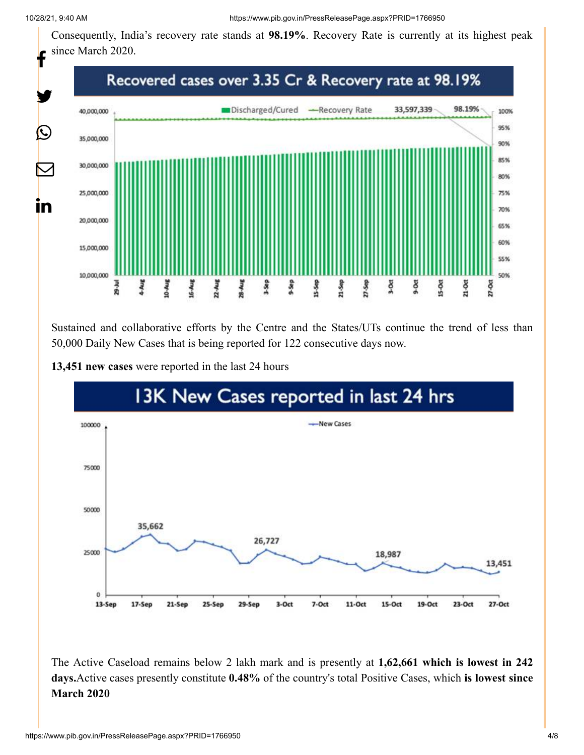Consequently, India's recovery rate stands at **98.19%**. Recovery Rate is currently at its highest peak since March 2020.



Sustained and collaborative efforts by the Centre and the States/UTs continue the trend of less than 50,000 Daily New Cases that is being reported for 122 consecutive days now.



#### **13,451 new cases** were reported in the last 24 hours

The Active Caseload remains below 2 lakh mark and is presently at **1,62,661 which is lowest in 242 days.**Active cases presently constitute **0.48%** of the country's total Positive Cases, which **is lowest since March 2020**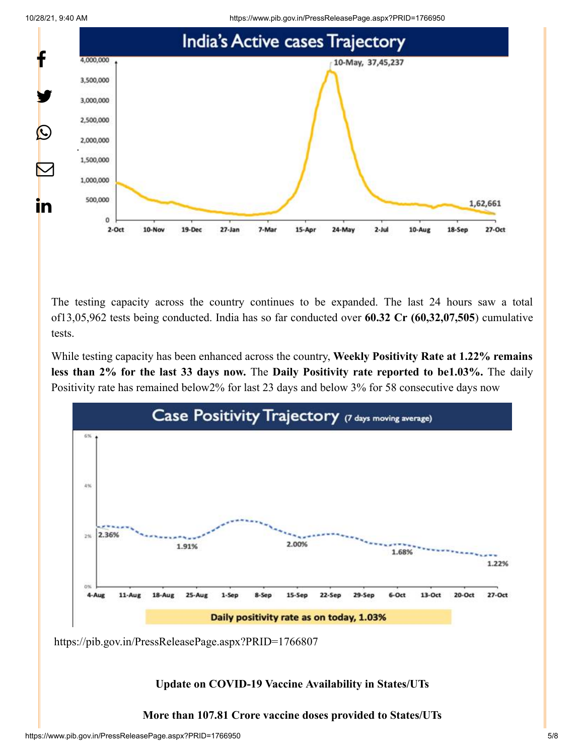10/28/21, 9:40 AM https://www.pib.gov.in/PressReleasePage.aspx?PRID=1766950





The testing capacity across the country continues to be expanded. The last 24 hours saw a total of13,05,962 tests being conducted. India has so far conducted over **60.32 Cr (60,32,07,505**) cumulative tests.

While testing capacity has been enhanced across the country, **Weekly Positivity Rate at 1.22% remains less than 2% for the last 33 days now.** The **Daily Positivity rate reported to be1.03%.** The daily Positivity rate has remained below2% for last 23 days and below 3% for 58 consecutive days now



<https://pib.gov.in/PressReleasePage.aspx?PRID=1766807>

**Update on COVID-19 Vaccine Availability in States/UTs**

**More than 107.81 Crore vaccine doses provided to States/UTs**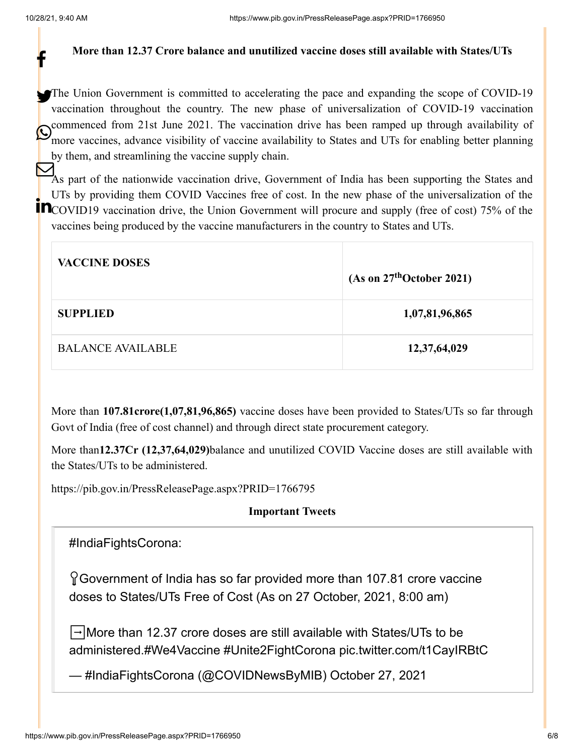f

#### **More than 12.37 Crore balance and unutilized vaccine doses still available with States/UTs**

The Union Government is committed to accelerating the pace and expanding the scope of COVID-19 vaccination throughout the country. The new phase of universalization of COVID-19 vaccination commenced from 21st June 2021. The vaccination drive has been ramped up through availability of Commenced from 21st June 2021. The vaccination drive has been ramped up infough availability of more vaccines, advance visibility of vaccine availability to States and UTs for enabling better planning by them, and streamlining the vaccine supply chain.

As part of the nationwide vaccination drive, Government of India has been supporting the States and UTs by providing them COVID Vaccines free of cost. In the new phase of the universalization of the COVID19 vaccination drive, the Union Government will procure and supply (free of cost) 75% of the vaccines being produced by the vaccine manufacturers in the country to States and UTs.

| <b>VACCINE DOSES</b>     | (As on $27th$ October 2021) |
|--------------------------|-----------------------------|
| <b>SUPPLIED</b>          | 1,07,81,96,865              |
| <b>BALANCE AVAILABLE</b> | 12,37,64,029                |

More than **107.81crore(1,07,81,96,865)** vaccine doses have been provided to States/UTs so far through Govt of India (free of cost channel) and through direct state procurement category.

More than**12.37Cr (12,37,64,029)**balance and unutilized COVID Vaccine doses are still available with the States/UTs to be administered.

<https://pib.gov.in/PressReleasePage.aspx?PRID=1766795>

## **Important Tweets**

[#IndiaFightsCorona](https://twitter.com/hashtag/IndiaFightsCorona?src=hash&ref_src=twsrc%5Etfw):

Government of India has so far provided more than 107.81 crore vaccine doses to States/UTs Free of Cost (As on 27 October, 2021, 8:00 am)

➡️More than 12.37 crore doses are still available with States/UTs to be administered[.#We4Vaccine](https://twitter.com/hashtag/We4Vaccine?src=hash&ref_src=twsrc%5Etfw) [#Unite2FightCorona](https://twitter.com/hashtag/Unite2FightCorona?src=hash&ref_src=twsrc%5Etfw) [pic.twitter.com/t1CayIRBtC](https://t.co/t1CayIRBtC)

— #IndiaFightsCorona (@COVIDNewsByMIB) [October 27, 2021](https://twitter.com/COVIDNewsByMIB/status/1453265276632551430?ref_src=twsrc%5Etfw)